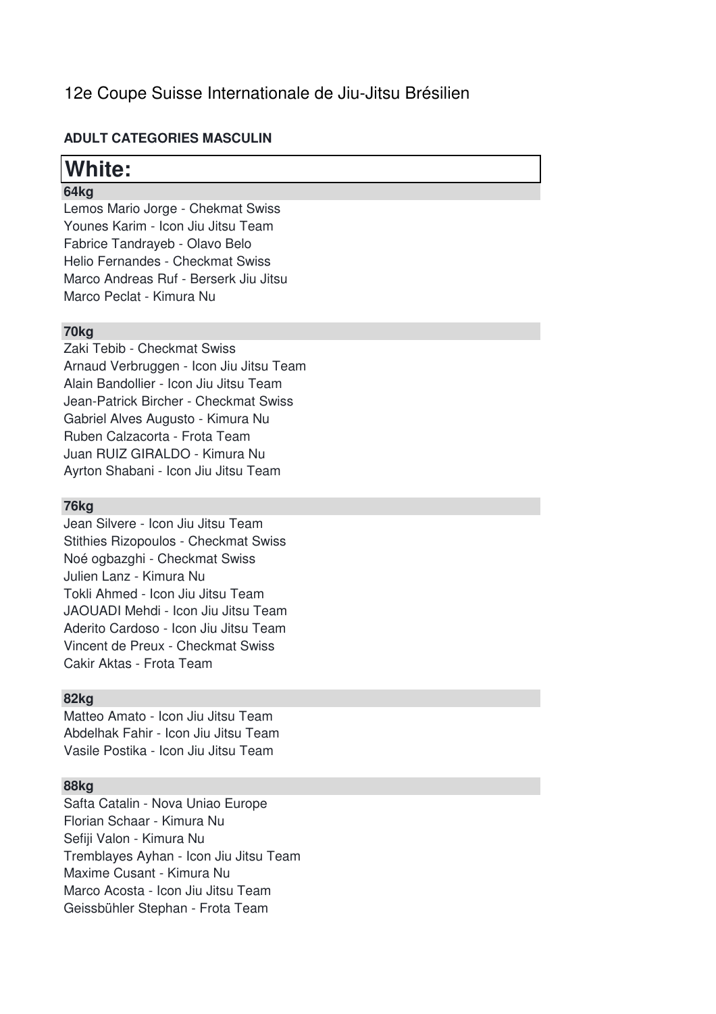## 12e Coupe Suisse Internationale de Jiu-Jitsu Brésilien

### **ADULT CATEGORIES MASCULIN**

## **White:**

## **64kg**

Lemos Mario Jorge - Chekmat Swiss Younes Karim - Icon Jiu Jitsu Team Fabrice Tandrayeb - Olavo Belo Helio Fernandes - Checkmat Swiss Marco Andreas Ruf - Berserk Jiu Jitsu Marco Peclat - Kimura Nu

### **70kg**

Zaki Tebib - Checkmat Swiss Arnaud Verbruggen - Icon Jiu Jitsu Team Alain Bandollier - Icon Jiu Jitsu Team Jean-Patrick Bircher - Checkmat Swiss Gabriel Alves Augusto - Kimura Nu Ruben Calzacorta - Frota Team Juan RUIZ GIRALDO - Kimura Nu Ayrton Shabani - Icon Jiu Jitsu Team

#### **76kg**

Jean Silvere - Icon Jiu Jitsu Team Stithies Rizopoulos - Checkmat Swiss Noé ogbazghi - Checkmat Swiss Julien Lanz - Kimura Nu Tokli Ahmed - Icon Jiu Jitsu Team JAOUADI Mehdi - Icon Jiu Jitsu Team Aderito Cardoso - Icon Jiu Jitsu Team Vincent de Preux - Checkmat Swiss Cakir Aktas - Frota Team

### **82kg**

Matteo Amato - Icon Jiu Jitsu Team Abdelhak Fahir - Icon Jiu Jitsu Team Vasile Postika - Icon Jiu Jitsu Team

#### **88kg**

Safta Catalin - Nova Uniao Europe Florian Schaar - Kimura Nu Sefiji Valon - Kimura Nu Tremblayes Ayhan - Icon Jiu Jitsu Team Maxime Cusant - Kimura Nu Marco Acosta - Icon Jiu Jitsu Team Geissbühler Stephan - Frota Team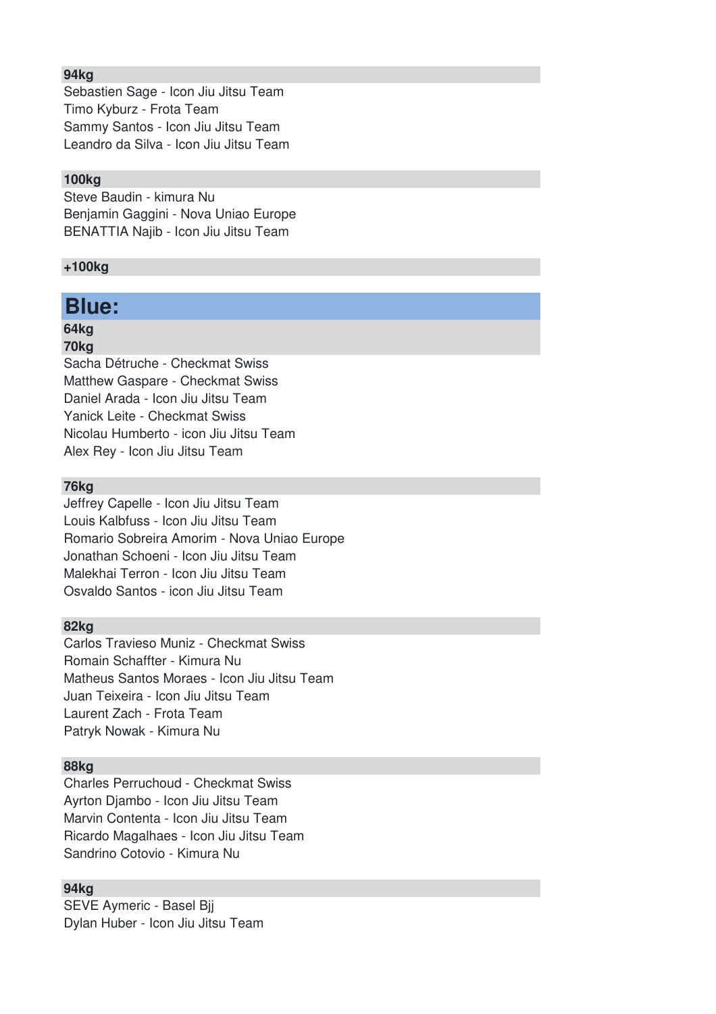#### **94kg**

Sebastien Sage - Icon Jiu Jitsu Team Timo Kyburz - Frota Team Sammy Santos - Icon Jiu Jitsu Team Leandro da Silva - Icon Jiu Jitsu Team

#### **100kg**

Steve Baudin - kimura Nu Benjamin Gaggini - Nova Uniao Europe BENATTIA Najib - Icon Jiu Jitsu Team

#### **+100kg**

## **Blue:**

### **64kg**

#### **70kg**

Sacha Détruche - Checkmat Swiss Matthew Gaspare - Checkmat Swiss Daniel Arada - Icon Jiu Jitsu Team Yanick Leite - Checkmat Swiss Nicolau Humberto - icon Jiu Jitsu Team Alex Rey - Icon Jiu Jitsu Team

#### **76kg**

Jeffrey Capelle - Icon Jiu Jitsu Team Louis Kalbfuss - Icon Jiu Jitsu Team Romario Sobreira Amorim - Nova Uniao Europe Jonathan Schoeni - Icon Jiu Jitsu Team Malekhai Terron - Icon Jiu Jitsu Team Osvaldo Santos - icon Jiu Jitsu Team

#### **82kg**

Carlos Travieso Muniz - Checkmat Swiss Romain Schaffter - Kimura Nu Matheus Santos Moraes - Icon Jiu Jitsu Team Juan Teixeira - Icon Jiu Jitsu Team Laurent Zach - Frota Team Patryk Nowak - Kimura Nu

#### **88kg**

Charles Perruchoud - Checkmat Swiss Ayrton Djambo - Icon Jiu Jitsu Team Marvin Contenta - Icon Jiu Jitsu Team Ricardo Magalhaes - Icon Jiu Jitsu Team Sandrino Cotovio - Kimura Nu

#### **94kg**

SEVE Aymeric - Basel Bjj Dylan Huber - Icon Jiu Jitsu Team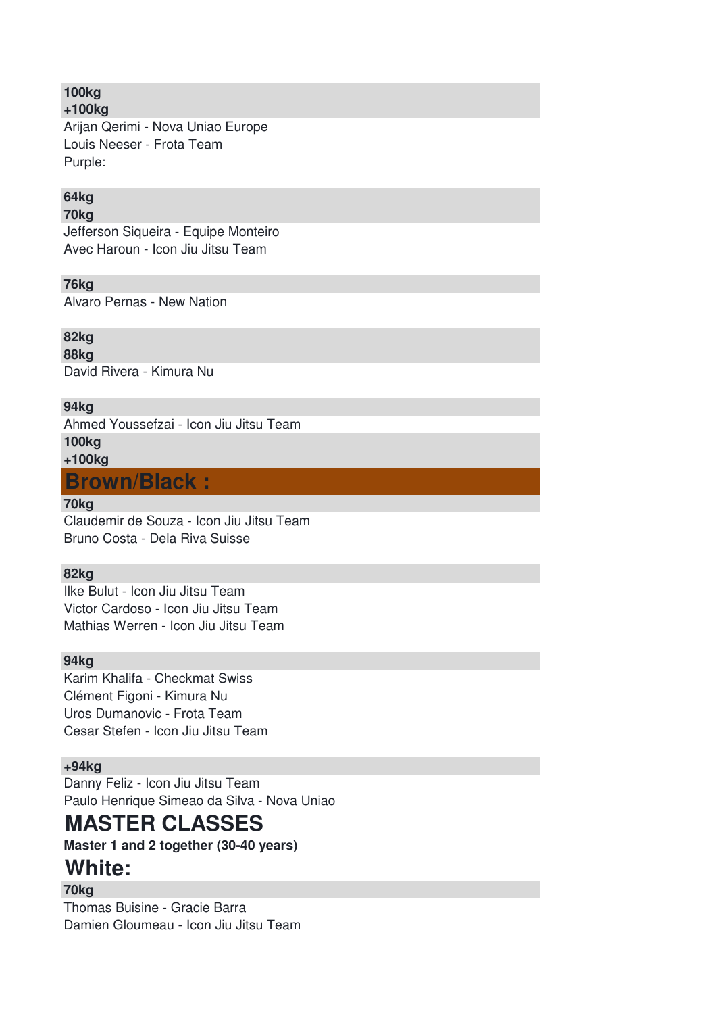#### **100kg +100kg**

Arijan Qerimi - Nova Uniao Europe Louis Neeser - Frota Team Purple:

## **64kg**

### **70kg**

Jefferson Siqueira - Equipe Monteiro Avec Haroun - Icon Jiu Jitsu Team

## **76kg**

Alvaro Pernas - New Nation

## **82kg**

**88kg**

David Rivera - Kimura Nu

## **94kg**

Ahmed Youssefzai - Icon Jiu Jitsu Team **100kg +100kg**

## **Brown/Black :**

#### **70kg**

Claudemir de Souza - Icon Jiu Jitsu Team Bruno Costa - Dela Riva Suisse

### **82kg**

Ilke Bulut - Icon Jiu Jitsu Team Victor Cardoso - Icon Jiu Jitsu Team Mathias Werren - Icon Jiu Jitsu Team

### **94kg**

Karim Khalifa - Checkmat Swiss Clément Figoni - Kimura Nu Uros Dumanovic - Frota Team Cesar Stefen - Icon Jiu Jitsu Team

## **+94kg**

Danny Feliz - Icon Jiu Jitsu Team Paulo Henrique Simeao da Silva - Nova Uniao

# **MASTER CLASSES**

**Master 1 and 2 together (30-40 years)**

## **White:**

**70kg**

Thomas Buisine - Gracie Barra Damien Gloumeau - Icon Jiu Jitsu Team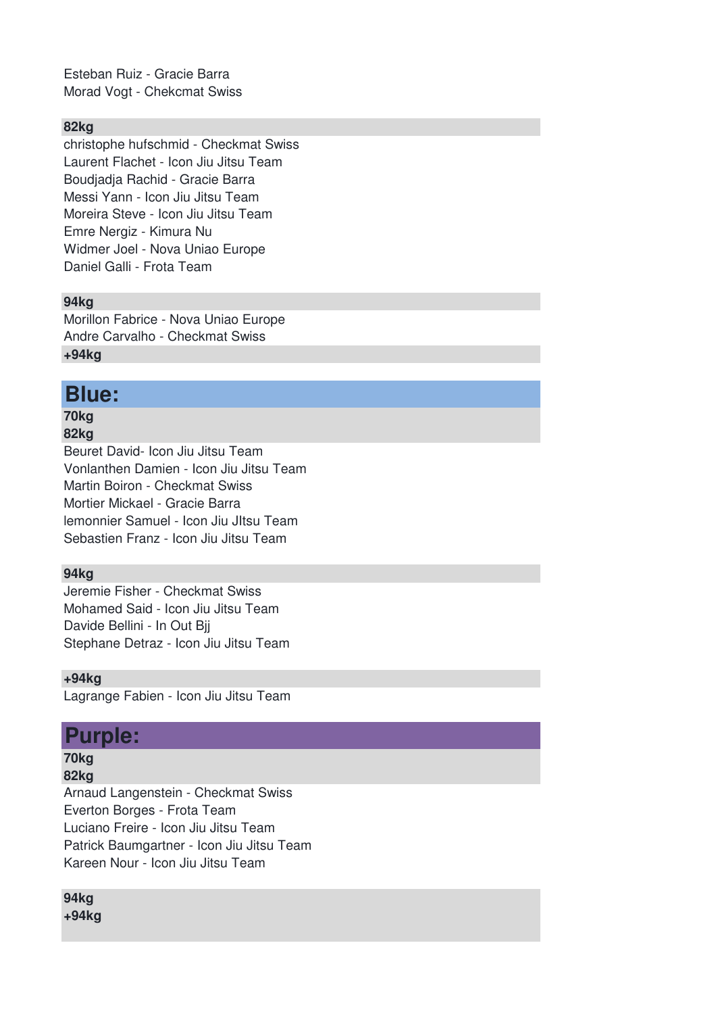Esteban Ruiz - Gracie Barra Morad Vogt - Chekcmat Swiss

#### **82kg**

christophe hufschmid - Checkmat Swiss Laurent Flachet - Icon Jiu Jitsu Team Boudjadja Rachid - Gracie Barra Messi Yann - Icon Jiu Jitsu Team Moreira Steve - Icon Jiu Jitsu Team Emre Nergiz - Kimura Nu Widmer Joel - Nova Uniao Europe Daniel Galli - Frota Team

#### **94kg**

Morillon Fabrice - Nova Uniao Europe Andre Carvalho - Checkmat Swiss **+94kg**

## **Blue:**

## **70kg**

**82kg**

Beuret David- Icon Jiu Jitsu Team Vonlanthen Damien - Icon Jiu Jitsu Team Martin Boiron - Checkmat Swiss Mortier Mickael - Gracie Barra lemonnier Samuel - Icon Jiu JItsu Team Sebastien Franz - Icon Jiu Jitsu Team

#### **94kg**

Jeremie Fisher - Checkmat Swiss Mohamed Said - Icon Jiu Jitsu Team Davide Bellini - In Out Bjj Stephane Detraz - Icon Jiu Jitsu Team

**+94kg**

Lagrange Fabien - Icon Jiu Jitsu Team

## **Purple:**

**70kg**

**82kg** Arnaud Langenstein - Checkmat Swiss Everton Borges - Frota Team Luciano Freire - Icon Jiu Jitsu Team Patrick Baumgartner - Icon Jiu Jitsu Team Kareen Nour - Icon Jiu Jitsu Team

**94kg +94kg**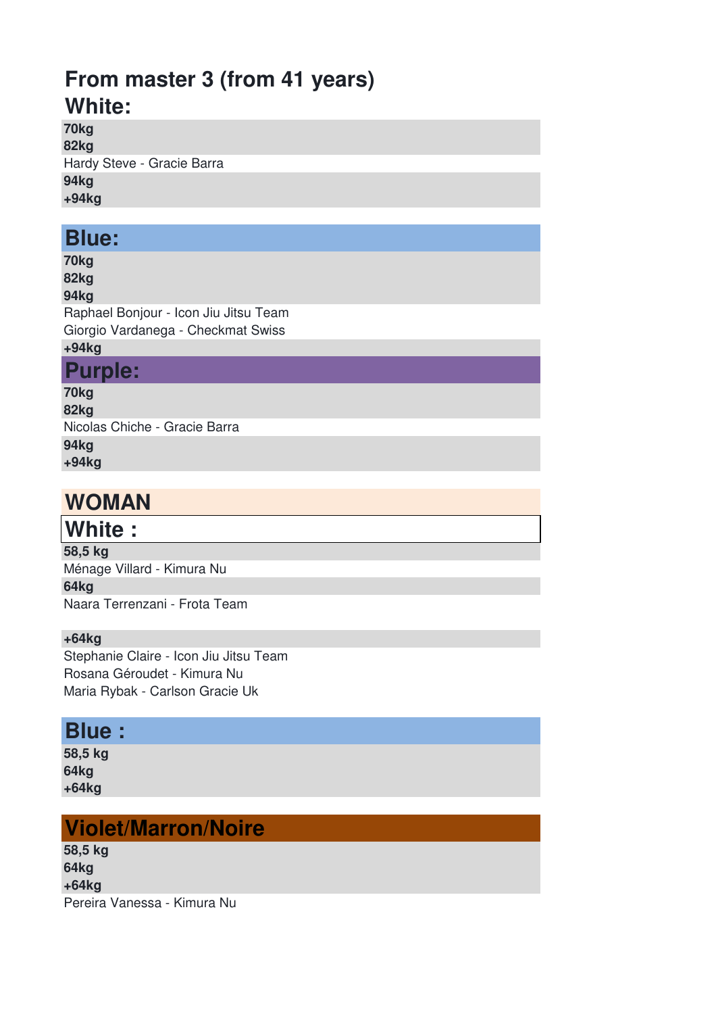# **From master 3 (from 41 years) White:**

**70kg 82kg**

Hardy Steve - Gracie Barra

**94kg**

**+94kg**

## **Blue:**

**70kg 82kg**

## **94kg**

Raphael Bonjour - Icon Jiu Jitsu Team Giorgio Vardanega - Checkmat Swiss

# **+94kg**

**Purple:**

**70kg**

**82kg** Nicolas Chiche - Gracie Barra **94kg +94kg**

# **WOMAN**

# **White :**

**58,5 kg** Ménage Villard - Kimura Nu **64kg** Naara Terrenzani - Frota Team

## **+64kg**

Stephanie Claire - Icon Jiu Jitsu Team Rosana Géroudet - Kimura Nu Maria Rybak - Carlson Gracie Uk

## **Blue :**

**58,5 kg 64kg +64kg**

# **Violet/Marron/Noire**

**58,5 kg 64kg +64kg** Pereira Vanessa - Kimura Nu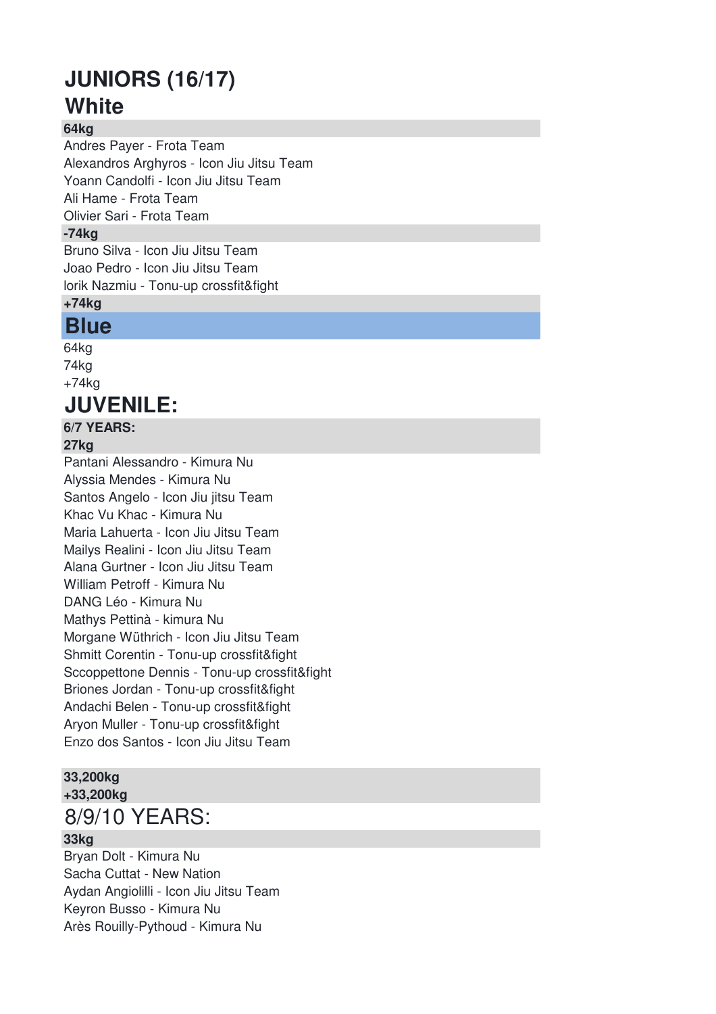# **JUNIORS (16/17) White**

## **64kg**

Andres Payer - Frota Team Alexandros Arghyros - Icon Jiu Jitsu Team Yoann Candolfi - Icon Jiu Jitsu Team Ali Hame - Frota Team Olivier Sari - Frota Team **-74kg** Bruno Silva - Icon Jiu Jitsu Team Joao Pedro - Icon Jiu Jitsu Team lorik Nazmiu - Tonu-up crossfit&fight **+74kg**

## **Blue**

64kg 74kg +74kg

# **JUVENILE:**

## **6/7 YEARS:**

## **27kg**

Pantani Alessandro - Kimura Nu Alyssia Mendes - Kimura Nu Santos Angelo - Icon Jiu jitsu Team Khac Vu Khac - Kimura Nu Maria Lahuerta - Icon Jiu Jitsu Team Mailys Realini - Icon Jiu Jitsu Team Alana Gurtner - Icon Jiu Jitsu Team William Petroff - Kimura Nu DANG Léo - Kimura Nu Mathys Pettinà - kimura Nu Morgane Wüthrich - Icon Jiu Jitsu Team Shmitt Corentin - Tonu-up crossfit&fight Sccoppettone Dennis - Tonu-up crossfit&fight Briones Jordan - Tonu-up crossfit&fight Andachi Belen - Tonu-up crossfit&fight Aryon Muller - Tonu-up crossfit&fight Enzo dos Santos - Icon Jiu Jitsu Team

#### **33,200kg +33,200kg**

## 8/9/10 YEARS:

#### **33kg**

Bryan Dolt - Kimura Nu Sacha Cuttat - New Nation Aydan Angiolilli - Icon Jiu Jitsu Team Keyron Busso - Kimura Nu Arès Rouilly-Pythoud - Kimura Nu